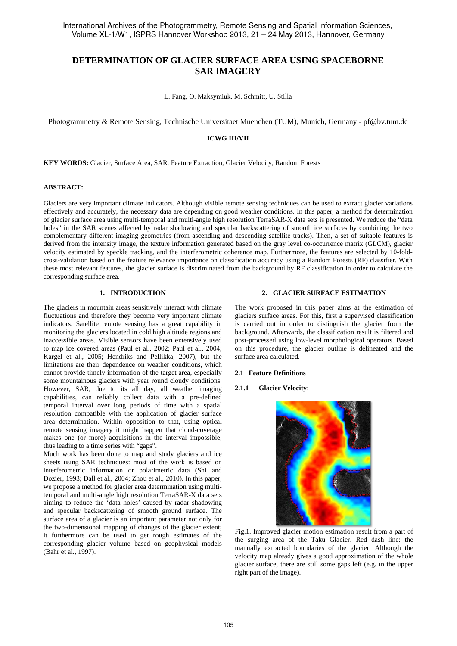# **DETERMINATION OF GLACIER SURFACE AREA USING SPACEBORNE SAR IMAGERY**

L. Fang, O. Maksymiuk, M. Schmitt, U. Stilla

Photogrammetry & Remote Sensing, Technische Universitaet Muenchen (TUM), Munich, Germany - pf@bv.tum.de

# **ICWG III/VII**

**KEY WORDS:** Glacier, Surface Area, SAR, Feature Extraction, Glacier Velocity, Random Forests

#### **ABSTRACT:**

Glaciers are very important climate indicators. Although visible remote sensing techniques can be used to extract glacier variations effectively and accurately, the necessary data are depending on good weather conditions. In this paper, a method for determination of glacier surface area using multi-temporal and multi-angle high resolution TerraSAR-X data sets is presented. We reduce the "data holes" in the SAR scenes affected by radar shadowing and specular backscattering of smooth ice surfaces by combining the two complementary different imaging geometries (from ascending and descending satellite tracks). Then, a set of suitable features is derived from the intensity image, the texture information generated based on the gray level co-occurrence matrix (GLCM), glacier velocity estimated by speckle tracking, and the interferometric coherence map. Furthermore, the features are selected by 10-foldcross-validation based on the feature relevance importance on classification accuracy using a Random Forests (RF) classifier. With these most relevant features, the glacier surface is discriminated from the background by RF classification in order to calculate the corresponding surface area.

## **1. INTRODUCTION**

The glaciers in mountain areas sensitively interact with climate fluctuations and therefore they become very important climate indicators. Satellite remote sensing has a great capability in monitoring the glaciers located in cold high altitude regions and inaccessible areas. Visible sensors have been extensively used to map ice covered areas (Paul et al., 2002; Paul et al., 2004; Kargel et al., 2005; Hendriks and Pellikka, 2007), but the limitations are their dependence on weather conditions, which cannot provide timely information of the target area, especially some mountainous glaciers with year round cloudy conditions. However, SAR, due to its all day, all weather imaging capabilities, can reliably collect data with a pre-defined temporal interval over long periods of time with a spatial resolution compatible with the application of glacier surface area determination. Within opposition to that, using optical remote sensing imagery it might happen that cloud-coverage makes one (or more) acquisitions in the interval impossible, thus leading to a time series with "gaps".

Much work has been done to map and study glaciers and ice sheets using SAR techniques: most of the work is based on interferometric information or polarimetric data (Shi and Dozier, 1993; Dall et al., 2004; Zhou et al., 2010). In this paper, we propose a method for glacier area determination using multitemporal and multi-angle high resolution TerraSAR-X data sets aiming to reduce the 'data holes' caused by radar shadowing and specular backscattering of smooth ground surface. The surface area of a glacier is an important parameter not only for the two-dimensional mapping of changes of the glacier extent; it furthermore can be used to get rough estimates of the corresponding glacier volume based on geophysical models (Bahr et al., 1997).

## **2. GLACIER SURFACE ESTIMATION**

The work proposed in this paper aims at the estimation of glaciers surface areas. For this, first a supervised classification is carried out in order to distinguish the glacier from the background. Afterwards, the classification result is filtered and post-processed using low-level morphological operators. Based on this procedure, the glacier outline is delineated and the surface area calculated.

#### **2.1 Feature Definitions**

#### **2.1.1 Glacier Velocity**:



Fig.1. Improved glacier motion estimation result from a part of the surging area of the Taku Glacier. Red dash line: the manually extracted boundaries of the glacier. Although the velocity map already gives a good approximation of the whole glacier surface, there are still some gaps left (e.g. in the upper right part of the image).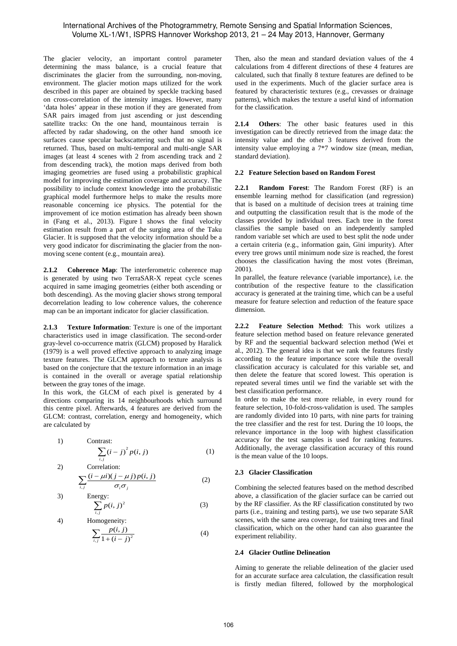# International Archives of the Photogrammetry, Remote Sensing and Spatial Information Sciences, Volume XL-1/W1, ISPRS Hannover Workshop 2013, 21 – 24 May 2013, Hannover, Germany

The glacier velocity, an important control parameter determining the mass balance, is a crucial feature that discriminates the glacier from the surrounding, non-moving, environment. The glacier motion maps utilized for the work described in this paper are obtained by speckle tracking based on cross-correlation of the intensity images. However, many 'data holes' appear in these motion if they are generated from SAR pairs imaged from just ascending or just descending satellite tracks: On the one hand, mountainous terrain is affected by radar shadowing, on the other hand smooth ice surfaces cause specular backscattering such that no signal is returned. Thus, based on multi-temporal and multi-angle SAR images (at least 4 scenes with 2 from ascending track and 2 from descending track), the motion maps derived from both imaging geometries are fused using a probabilistic graphical model for improving the estimation coverage and accuracy. The possibility to include context knowledge into the probabilistic graphical model furthermore helps to make the results more reasonable concerning ice physics. The potential for the improvement of ice motion estimation has already been shown in (Fang et al., 2013). Figure 1 shows the final velocity estimation result from a part of the surging area of the Taku Glacier. It is supposed that the velocity information should be a very good indicator for discriminating the glacier from the nonmoving scene content (e.g., mountain area).

**2.1.2 Coherence Map**: The interferometric coherence map is generated by using two TerraSAR-X repeat cycle scenes acquired in same imaging geometries (either both ascending or both descending). As the moving glacier shows strong temporal decorrelation leading to low coherence values, the coherence map can be an important indicator for glacier classification.

**2.1.3 Texture Information**: Texture is one of the important characteristics used in image classification. The second-order gray-level co-occurrence matrix (GLCM) proposed by Haralick (1979) is a well proved effective approach to analyzing image texture features. The GLCM approach to texture analysis is based on the conjecture that the texture information in an image is contained in the overall or average spatial relationship between the gray tones of the image.

In this work, the GLCM of each pixel is generated by 4 directions comparing its 14 neighbourhoods which surround this centre pixel. Afterwards, 4 features are derived from the GLCM: contrast, correlation, energy and homogeneity, which are calculated by

Contrast:  
\n
$$
\sum_{i,j} (i-j)^2 p(i,j)
$$
\n(1)

2) Correlation:  $\sum_{i,j}$  $\sum \frac{(i - \mu i)(j - \mu j)p(i, j)}{\sigma \sigma}$  (2) σ σ

, *i j*

 $1)$ 

 $3)$ 

$$
\begin{array}{ll}\n & o_i o_j \\
\text{Energy:} \\
& \sum p(i, j)^2\n \end{array} \n \tag{3}
$$

4) Homogeneity:  
\n
$$
\sum_{i,j} \frac{p(i,j)}{1+(i-j)^2}
$$
\n(4)

Then, also the mean and standard deviation values of the 4 calculations from 4 different directions of these 4 features are calculated, such that finally 8 texture features are defined to be used in the experiments. Much of the glacier surface area is featured by characteristic textures (e.g., crevasses or drainage patterns), which makes the texture a useful kind of information for the classification.

**2.1.4 Others**: The other basic features used in this investigation can be directly retrieved from the image data: the intensity value and the other 3 features derived from the intensity value employing a 7\*7 window size (mean, median, standard deviation).

# **2.2 Feature Selection based on Random Forest**

**2.2.1 Random Forest**: The Random Forest (RF) is an ensemble learning method for classification (and regression) that is based on a multitude of decision trees at training time and outputting the classification result that is the mode of the classes provided by individual trees. Each tree in the forest classifies the sample based on an independently sampled random variable set which are used to best split the node under a certain criteria (e.g., information gain, Gini impurity). After every tree grows until minimum node size is reached, the forest chooses the classification having the most votes (Breiman, 2001).

In parallel, the feature relevance (variable importance), i.e. the contribution of the respective feature to the classification accuracy is generated at the training time, which can be a useful measure for feature selection and reduction of the feature space dimension.

**2.2.2 Feature Selection Method**: This work utilizes a feature selection method based on feature relevance generated by RF and the sequential backward selection method (Wei et al., 2012). The general idea is that we rank the features firstly according to the feature importance score while the overall classification accuracy is calculated for this variable set, and then delete the feature that scored lowest. This operation is repeated several times until we find the variable set with the best classification performance.

In order to make the test more reliable, in every round for feature selection, 10-fold-cross-validation is used. The samples are randomly divided into 10 parts, with nine parts for training the tree classifier and the rest for test. During the 10 loops, the relevance importance in the loop with highest classification accuracy for the test samples is used for ranking features. Additionally, the average classification accuracy of this round is the mean value of the 10 loops.

# **2.3 Glacier Classification**

Combining the selected features based on the method described above, a classification of the glacier surface can be carried out by the RF classifier. As the RF classification constituted by two parts (i.e., training and testing parts), we use two separate SAR scenes, with the same area coverage, for training trees and final classification, which on the other hand can also guarantee the experiment reliability.

# **2.4 Glacier Outline Delineation**

Aiming to generate the reliable delineation of the glacier used for an accurate surface area calculation, the classification result is firstly median filtered, followed by the morphological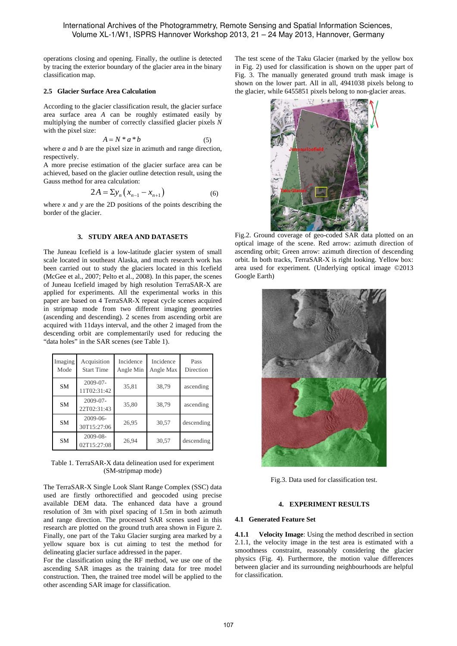operations closing and opening. Finally, the outline is detected by tracing the exterior boundary of the glacier area in the binary classification map.

### **2.5 Glacier Surface Area Calculation**

According to the glacier classification result, the glacier surface area surface area *A* can be roughly estimated easily by multiplying the number of correctly classified glacier pixels *N* with the pixel size:

$$
A = N * a * b \tag{5}
$$

where *a* and *b* are the pixel size in azimuth and range direction, respectively.

A more precise estimation of the glacier surface area can be achieved, based on the glacier outline detection result, using the Gauss method for area calculation:

$$
2A = \sum y_n \left( x_{n-1} - x_{n+1} \right) \tag{6}
$$

where  $x$  and  $y$  are the 2D positions of the points describing the border of the glacier.

## **3. STUDY AREA AND DATASETS**

The Juneau Icefield is a low-latitude glacier system of small scale located in southeast Alaska, and much research work has been carried out to study the glaciers located in this Icefield (McGee et al., 2007; Pelto et al., 2008). In this paper, the scenes of Juneau Icefield imaged by high resolution TerraSAR-X are applied for experiments. All the experimental works in this paper are based on 4 TerraSAR-X repeat cycle scenes acquired in stripmap mode from two different imaging geometries (ascending and descending). 2 scenes from ascending orbit are acquired with 11days interval, and the other 2 imaged from the descending orbit are complementarily used for reducing the "data holes" in the SAR scenes (see Table 1).

| Imaging<br>Mode | Acquisition<br><b>Start Time</b> | Incidence<br>Angle Min | Incidence<br>Angle Max | Pass<br>Direction |
|-----------------|----------------------------------|------------------------|------------------------|-------------------|
| <b>SM</b>       | $2009 - 07 -$<br>11T02:31:42     | 35,81                  | 38,79                  | ascending         |
| <b>SM</b>       | 2009-07-<br>22T02:31:43          | 35,80                  | 38,79                  | ascending         |
| <b>SM</b>       | $2009 - 06 -$<br>30T15:27:06     | 26,95                  | 30,57                  | descending        |
| <b>SM</b>       | 2009-08-<br>02T15:27:08          | 26,94                  | 30,57                  | descending        |

Table 1. TerraSAR-X data delineation used for experiment (SM-stripmap mode)

The TerraSAR-X Single Look Slant Range Complex (SSC) data used are firstly orthorectified and geocoded using precise available DEM data. The enhanced data have a ground resolution of 3m with pixel spacing of 1.5m in both azimuth and range direction. The processed SAR scenes used in this research are plotted on the ground truth area shown in Figure 2. Finally, one part of the Taku Glacier surging area marked by a yellow square box is cut aiming to test the method for delineating glacier surface addressed in the paper.

For the classification using the RF method, we use one of the ascending SAR images as the training data for tree model construction. Then, the trained tree model will be applied to the other ascending SAR image for classification.

The test scene of the Taku Glacier (marked by the yellow box in Fig. 2) used for classification is shown on the upper part of Fig. 3. The manually generated ground truth mask image is shown on the lower part. All in all, 4941038 pixels belong to the glacier, while 6455851 pixels belong to non-glacier areas.



Fig.2. Ground coverage of geo-coded SAR data plotted on an optical image of the scene. Red arrow: azimuth direction of ascending orbit; Green arrow: azimuth direction of descending orbit. In both tracks, TerraSAR-X is right looking. Yellow box: area used for experiment. (Underlying optical image ©2013 Google Earth)



Fig.3. Data used for classification test.

# **4. EXPERIMENT RESULTS**

#### **4.1 Generated Feature Set**

**4.1.1 Velocity Image**: Using the method described in section 2.1.1, the velocity image in the test area is estimated with a smoothness constraint, reasonably considering the glacier physics (Fig. 4). Furthermore, the motion value differences between glacier and its surrounding neighbourhoods are helpful for classification.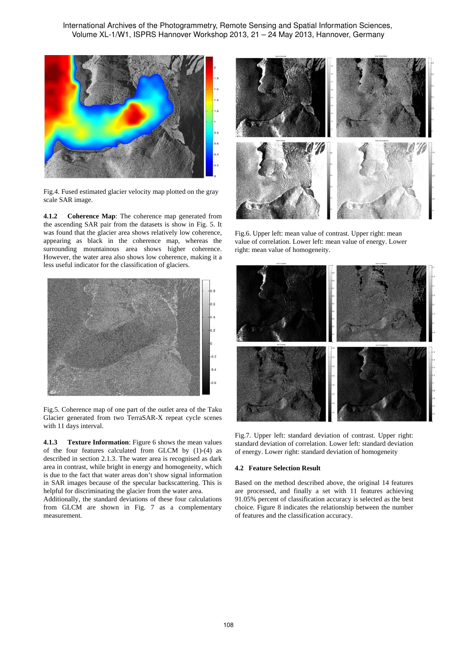International Archives of the Photogrammetry, Remote Sensing and Spatial Information Sciences, Volume XL-1/W1, ISPRS Hannover Workshop 2013, 21 – 24 May 2013, Hannover, Germany



Fig.4. Fused estimated glacier velocity map plotted on the gray scale SAR image.

**4.1.2 Coherence Map**: The coherence map generated from the ascending SAR pair from the datasets is show in Fig. 5. It was found that the glacier area shows relatively low coherence, appearing as black in the coherence map, whereas the surrounding mountainous area shows higher coherence. However, the water area also shows low coherence, making it a less useful indicator for the classification of glaciers.



Fig.5. Coherence map of one part of the outlet area of the Taku Glacier generated from two TerraSAR-X repeat cycle scenes with 11 days interval.

**4.1.3 Texture Information**: Figure 6 shows the mean values of the four features calculated from GLCM by (1)-(4) as described in section 2.1.3. The water area is recognised as dark area in contrast, while bright in energy and homogeneity, which is due to the fact that water areas don't show signal information in SAR images because of the specular backscattering. This is helpful for discriminating the glacier from the water area.

Additionally, the standard deviations of these four calculations from GLCM are shown in Fig. 7 as a complementary measurement.



Fig.6. Upper left: mean value of contrast. Upper right: mean value of correlation. Lower left: mean value of energy. Lower right: mean value of homogeneity.



Fig.7. Upper left: standard deviation of contrast. Upper right: standard deviation of correlation. Lower left: standard deviation of energy. Lower right: standard deviation of homogeneity

# **4.2 Feature Selection Result**

Based on the method described above, the original 14 features are processed, and finally a set with 11 features achieving 91.05% percent of classification accuracy is selected as the best choice. Figure 8 indicates the relationship between the number of features and the classification accuracy.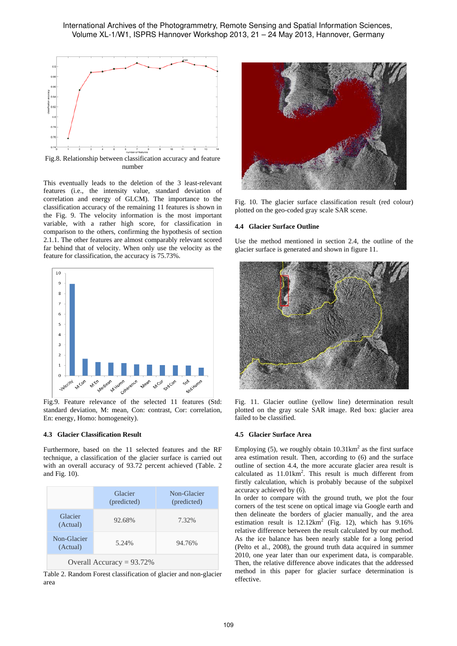

Fig.8. Relationship between classification accuracy and feature number

This eventually leads to the deletion of the 3 least-relevant features (i.e., the intensity value, standard deviation of correlation and energy of GLCM). The importance to the classification accuracy of the remaining 11 features is shown in the Fig. 9. The velocity information is the most important variable, with a rather high score, for classification in comparison to the others, confirming the hypothesis of section 2.1.1. The other features are almost comparably relevant scored far behind that of velocity. When only use the velocity as the feature for classification, the accuracy is 75.73%.



Fig.9. Feature relevance of the selected 11 features (Std: standard deviation, M: mean, Con: contrast, Cor: correlation, En: energy, Homo: homogeneity).

# **4.3 Glacier Classification Result**

Furthermore, based on the 11 selected features and the RF technique, a classification of the glacier surface is carried out with an overall accuracy of 93.72 percent achieved (Table. 2 and Fig. 10).

|                              | Glacier<br>(predicted) | Non-Glacier<br>(predicted) |  |  |  |
|------------------------------|------------------------|----------------------------|--|--|--|
| Glacier<br>(Actual)          | 92.68%                 | 7.32%                      |  |  |  |
| Non-Glacier<br>(Actual)      | 5.24%                  | 94.76%                     |  |  |  |
| Overall Accuracy = $93.72\%$ |                        |                            |  |  |  |

Table 2. Random Forest classification of glacier and non-glacier area



Fig. 10. The glacier surface classification result (red colour) plotted on the geo-coded gray scale SAR scene.

#### **4.4 Glacier Surface Outline**

Use the method mentioned in section 2.4, the outline of the glacier surface is generated and shown in figure 11.



Fig. 11. Glacier outline (yellow line) determination result plotted on the gray scale SAR image. Red box: glacier area failed to be classified.

#### **4.5 Glacier Surface Area**

Employing (5), we roughly obtain  $10.31 \text{km}^2$  as the first surface area estimation result. Then, according to (6) and the surface outline of section 4.4, the more accurate glacier area result is calculated as  $11.01 \text{km}^2$ . This result is much different from firstly calculation, which is probably because of the subpixel accuracy achieved by (6).

In order to compare with the ground truth, we plot the four corners of the test scene on optical image via Google earth and then delineate the borders of glacier manually, and the area estimation result is  $12.12 \text{km}^2$  (Fig. 12), which has  $9.16\%$ relative difference between the result calculated by our method. As the ice balance has been nearly stable for a long period (Pelto et al., 2008), the ground truth data acquired in summer 2010, one year later than our experiment data, is comparable. Then, the relative difference above indicates that the addressed method in this paper for glacier surface determination is effective.